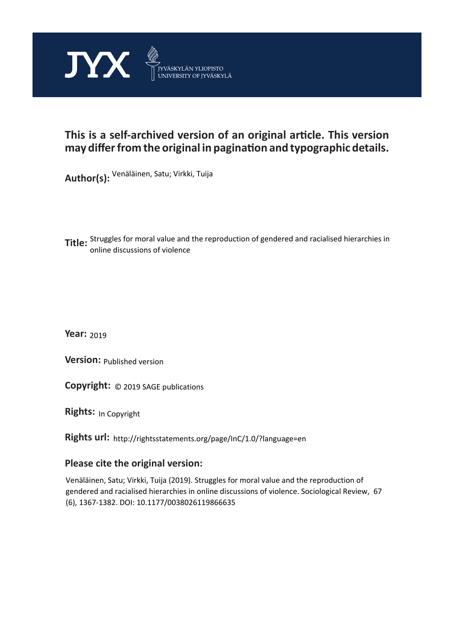

# **This is a self-archived version of an original article. This version may differ from the original in pagination and typographic details.**

**Author(s):**  Venäläinen, Satu; Virkki, Tuija

**Title:**  Struggles for moral value and the reproduction of gendered and racialised hierarchies in online discussions of violence

**Year:**  2019

**Version: Published version** 

**Version:** Published version<br>**Copyright:** © 2019 SAGE publications

**Rights:** In Copyright

**Rights url:**  http://rightsstatements.org/page/InC/1.0/?language=en

# **Please cite the original version:**

Venäläinen, Satu; Virkki, Tuija (2019). Struggles for moral value and the reproduction of gendered and racialised hierarchies in online discussions of violence. Sociological Review, 67 (6), 1367-1382. DOI: 10.1177/0038026119866635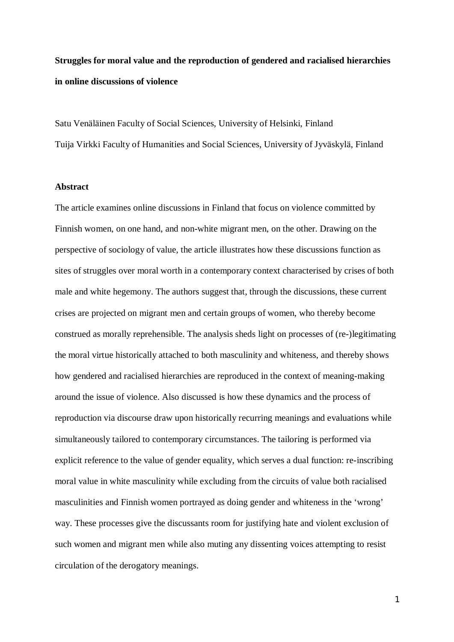**Struggles for moral value and the reproduction of gendered and racialised hierarchies in online discussions of violence**

Satu Venäläinen Faculty of Social Sciences, University of Helsinki, Finland Tuija Virkki Faculty of Humanities and Social Sciences, University of Jyväskylä, Finland

### **Abstract**

The article examines online discussions in Finland that focus on violence committed by Finnish women, on one hand, and non-white migrant men, on the other. Drawing on the perspective of sociology of value, the article illustrates how these discussions function as sites of struggles over moral worth in a contemporary context characterised by crises of both male and white hegemony. The authors suggest that, through the discussions, these current crises are projected on migrant men and certain groups of women, who thereby become construed as morally reprehensible. The analysis sheds light on processes of (re-)legitimating the moral virtue historically attached to both masculinity and whiteness, and thereby shows how gendered and racialised hierarchies are reproduced in the context of meaning-making around the issue of violence. Also discussed is how these dynamics and the process of reproduction via discourse draw upon historically recurring meanings and evaluations while simultaneously tailored to contemporary circumstances. The tailoring is performed via explicit reference to the value of gender equality, which serves a dual function: re-inscribing moral value in white masculinity while excluding from the circuits of value both racialised masculinities and Finnish women portrayed as doing gender and whiteness in the 'wrong' way. These processes give the discussants room for justifying hate and violent exclusion of such women and migrant men while also muting any dissenting voices attempting to resist circulation of the derogatory meanings.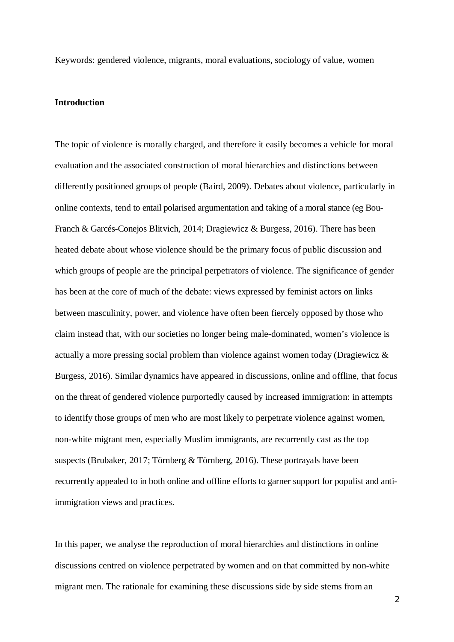Keywords: gendered violence, migrants, moral evaluations, sociology of value, women

#### **Introduction**

The topic of violence is morally charged, and therefore it easily becomes a vehicle for moral evaluation and the associated construction of moral hierarchies and distinctions between differently positioned groups of people (Baird, 2009). Debates about violence, particularly in online contexts, tend to entail polarised argumentation and taking of a moral stance (eg Bou-Franch & Garcés-Conejos Blitvich, 2014; Dragiewicz & Burgess, 2016). There has been heated debate about whose violence should be the primary focus of public discussion and which groups of people are the principal perpetrators of violence. The significance of gender has been at the core of much of the debate: views expressed by feminist actors on links between masculinity, power, and violence have often been fiercely opposed by those who claim instead that, with our societies no longer being male-dominated, women's violence is actually a more pressing social problem than violence against women today (Dragiewicz & Burgess, 2016). Similar dynamics have appeared in discussions, online and offline, that focus on the threat of gendered violence purportedly caused by increased immigration: in attempts to identify those groups of men who are most likely to perpetrate violence against women, non-white migrant men, especially Muslim immigrants, are recurrently cast as the top suspects (Brubaker, 2017; Törnberg & Törnberg, 2016). These portrayals have been recurrently appealed to in both online and offline efforts to garner support for populist and antiimmigration views and practices.

In this paper, we analyse the reproduction of moral hierarchies and distinctions in online discussions centred on violence perpetrated by women and on that committed by non-white migrant men. The rationale for examining these discussions side by side stems from an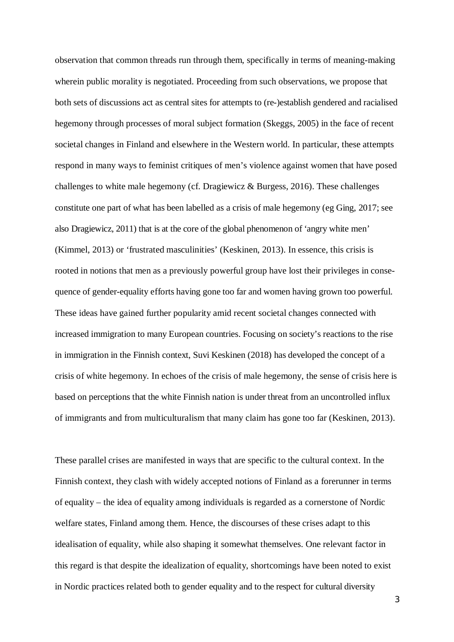observation that common threads run through them, specifically in terms of meaning-making wherein public morality is negotiated. Proceeding from such observations, we propose that both sets of discussions act as central sites for attempts to (re-)establish gendered and racialised hegemony through processes of moral subject formation (Skeggs, 2005) in the face of recent societal changes in Finland and elsewhere in the Western world. In particular, these attempts respond in many ways to feminist critiques of men's violence against women that have posed challenges to white male hegemony (cf. Dragiewicz & Burgess, 2016). These challenges constitute one part of what has been labelled as a crisis of male hegemony (eg Ging, 2017; see also Dragiewicz, 2011) that is at the core of the global phenomenon of 'angry white men' (Kimmel, 2013) or 'frustrated masculinities' (Keskinen, 2013). In essence, this crisis is rooted in notions that men as a previously powerful group have lost their privileges in consequence of gender-equality efforts having gone too far and women having grown too powerful. These ideas have gained further popularity amid recent societal changes connected with increased immigration to many European countries. Focusing on society's reactions to the rise in immigration in the Finnish context, Suvi Keskinen (2018) has developed the concept of a crisis of white hegemony. In echoes of the crisis of male hegemony, the sense of crisis here is based on perceptions that the white Finnish nation is under threat from an uncontrolled influx of immigrants and from multiculturalism that many claim has gone too far (Keskinen, 2013).

These parallel crises are manifested in ways that are specific to the cultural context. In the Finnish context, they clash with widely accepted notions of Finland as a forerunner in terms of equality – the idea of equality among individuals is regarded as a cornerstone of Nordic welfare states, Finland among them. Hence, the discourses of these crises adapt to this idealisation of equality, while also shaping it somewhat themselves. One relevant factor in this regard is that despite the idealization of equality, shortcomings have been noted to exist in Nordic practices related both to gender equality and to the respect for cultural diversity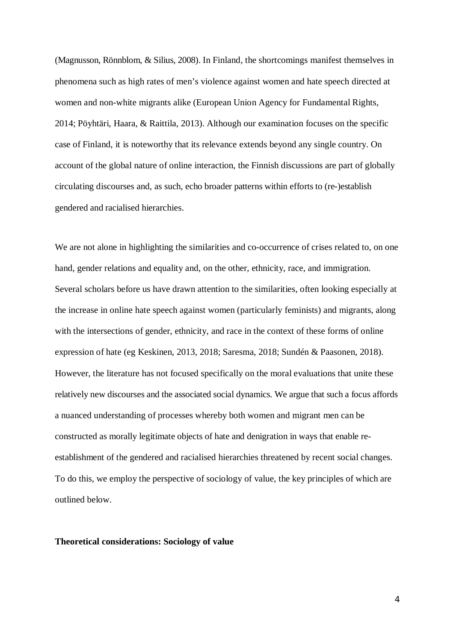(Magnusson, Rönnblom, & Silius, 2008). In Finland, the shortcomings manifest themselves in phenomena such as high rates of men's violence against women and hate speech directed at women and non-white migrants alike (European Union Agency for Fundamental Rights, 2014; Pöyhtäri, Haara, & Raittila, 2013). Although our examination focuses on the specific case of Finland, it is noteworthy that its relevance extends beyond any single country. On account of the global nature of online interaction, the Finnish discussions are part of globally circulating discourses and, as such, echo broader patterns within efforts to (re-)establish gendered and racialised hierarchies.

We are not alone in highlighting the similarities and co-occurrence of crises related to, on one hand, gender relations and equality and, on the other, ethnicity, race, and immigration. Several scholars before us have drawn attention to the similarities, often looking especially at the increase in online hate speech against women (particularly feminists) and migrants, along with the intersections of gender, ethnicity, and race in the context of these forms of online expression of hate (eg Keskinen, 2013, 2018; Saresma, 2018; Sundén & Paasonen, 2018). However, the literature has not focused specifically on the moral evaluations that unite these relatively new discourses and the associated social dynamics. We argue that such a focus affords a nuanced understanding of processes whereby both women and migrant men can be constructed as morally legitimate objects of hate and denigration in ways that enable reestablishment of the gendered and racialised hierarchies threatened by recent social changes. To do this, we employ the perspective of sociology of value, the key principles of which are outlined below.

#### **Theoretical considerations: Sociology of value**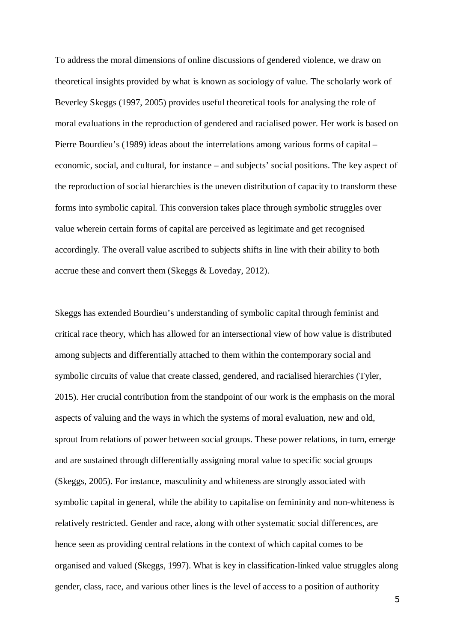To address the moral dimensions of online discussions of gendered violence, we draw on theoretical insights provided by what is known as sociology of value. The scholarly work of Beverley Skeggs (1997, 2005) provides useful theoretical tools for analysing the role of moral evaluations in the reproduction of gendered and racialised power. Her work is based on Pierre Bourdieu's (1989) ideas about the interrelations among various forms of capital – economic, social, and cultural, for instance – and subjects' social positions. The key aspect of the reproduction of social hierarchies is the uneven distribution of capacity to transform these forms into symbolic capital. This conversion takes place through symbolic struggles over value wherein certain forms of capital are perceived as legitimate and get recognised accordingly. The overall value ascribed to subjects shifts in line with their ability to both accrue these and convert them (Skeggs & Loveday, 2012).

Skeggs has extended Bourdieu's understanding of symbolic capital through feminist and critical race theory, which has allowed for an intersectional view of how value is distributed among subjects and differentially attached to them within the contemporary social and symbolic circuits of value that create classed, gendered, and racialised hierarchies (Tyler, 2015). Her crucial contribution from the standpoint of our work is the emphasis on the moral aspects of valuing and the ways in which the systems of moral evaluation, new and old, sprout from relations of power between social groups. These power relations, in turn, emerge and are sustained through differentially assigning moral value to specific social groups (Skeggs, 2005). For instance, masculinity and whiteness are strongly associated with symbolic capital in general, while the ability to capitalise on femininity and non-whiteness is relatively restricted. Gender and race, along with other systematic social differences, are hence seen as providing central relations in the context of which capital comes to be organised and valued (Skeggs, 1997). What is key in classification-linked value struggles along gender, class, race, and various other lines is the level of access to a position of authority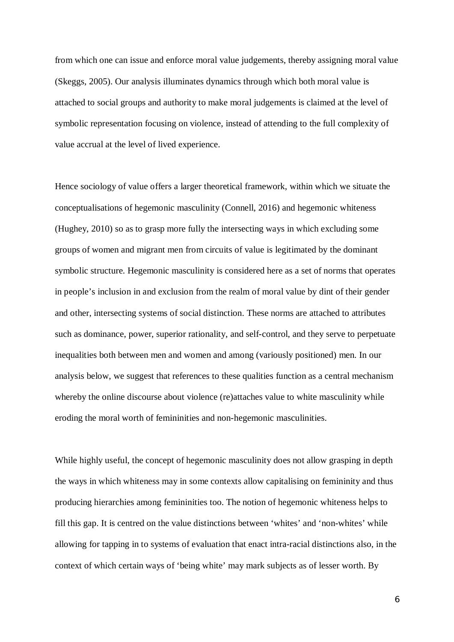from which one can issue and enforce moral value judgements, thereby assigning moral value (Skeggs, 2005). Our analysis illuminates dynamics through which both moral value is attached to social groups and authority to make moral judgements is claimed at the level of symbolic representation focusing on violence, instead of attending to the full complexity of value accrual at the level of lived experience.

Hence sociology of value offers a larger theoretical framework, within which we situate the conceptualisations of hegemonic masculinity (Connell, 2016) and hegemonic whiteness (Hughey, 2010) so as to grasp more fully the intersecting ways in which excluding some groups of women and migrant men from circuits of value is legitimated by the dominant symbolic structure. Hegemonic masculinity is considered here as a set of norms that operates in people's inclusion in and exclusion from the realm of moral value by dint of their gender and other, intersecting systems of social distinction. These norms are attached to attributes such as dominance, power, superior rationality, and self-control, and they serve to perpetuate inequalities both between men and women and among (variously positioned) men. In our analysis below, we suggest that references to these qualities function as a central mechanism whereby the online discourse about violence (re)attaches value to white masculinity while eroding the moral worth of femininities and non-hegemonic masculinities.

While highly useful, the concept of hegemonic masculinity does not allow grasping in depth the ways in which whiteness may in some contexts allow capitalising on femininity and thus producing hierarchies among femininities too. The notion of hegemonic whiteness helps to fill this gap. It is centred on the value distinctions between 'whites' and 'non-whites' while allowing for tapping in to systems of evaluation that enact intra-racial distinctions also, in the context of which certain ways of 'being white' may mark subjects as of lesser worth. By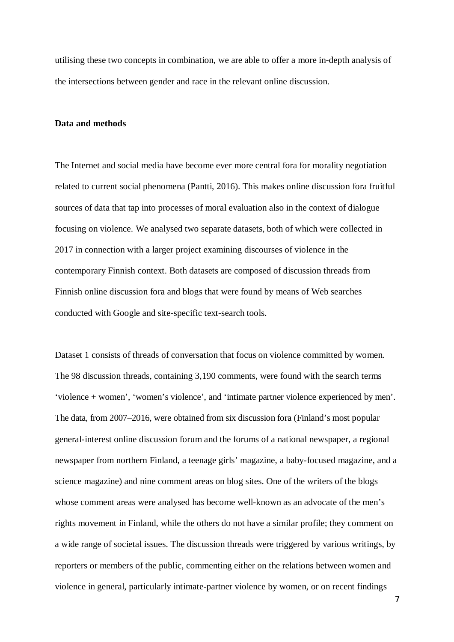utilising these two concepts in combination, we are able to offer a more in-depth analysis of the intersections between gender and race in the relevant online discussion.

## **Data and methods**

The Internet and social media have become ever more central fora for morality negotiation related to current social phenomena (Pantti, 2016). This makes online discussion fora fruitful sources of data that tap into processes of moral evaluation also in the context of dialogue focusing on violence. We analysed two separate datasets, both of which were collected in 2017 in connection with a larger project examining discourses of violence in the contemporary Finnish context. Both datasets are composed of discussion threads from Finnish online discussion fora and blogs that were found by means of Web searches conducted with Google and site-specific text-search tools.

Dataset 1 consists of threads of conversation that focus on violence committed by women. The 98 discussion threads, containing 3,190 comments, were found with the search terms 'violence + women', 'women's violence', and 'intimate partner violence experienced by men'. The data, from 2007–2016, were obtained from six discussion fora (Finland's most popular general-interest online discussion forum and the forums of a national newspaper, a regional newspaper from northern Finland, a teenage girls' magazine, a baby-focused magazine, and a science magazine) and nine comment areas on blog sites. One of the writers of the blogs whose comment areas were analysed has become well-known as an advocate of the men's rights movement in Finland, while the others do not have a similar profile; they comment on a wide range of societal issues. The discussion threads were triggered by various writings, by reporters or members of the public, commenting either on the relations between women and violence in general, particularly intimate-partner violence by women, or on recent findings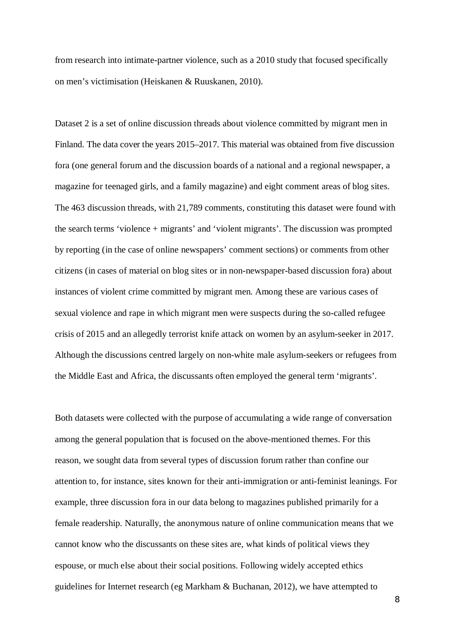from research into intimate-partner violence, such as a 2010 study that focused specifically on men's victimisation (Heiskanen & Ruuskanen, 2010).

Dataset 2 is a set of online discussion threads about violence committed by migrant men in Finland. The data cover the years 2015–2017. This material was obtained from five discussion fora (one general forum and the discussion boards of a national and a regional newspaper, a magazine for teenaged girls, and a family magazine) and eight comment areas of blog sites. The 463 discussion threads, with 21,789 comments, constituting this dataset were found with the search terms 'violence + migrants' and 'violent migrants'. The discussion was prompted by reporting (in the case of online newspapers' comment sections) or comments from other citizens (in cases of material on blog sites or in non-newspaper-based discussion fora) about instances of violent crime committed by migrant men. Among these are various cases of sexual violence and rape in which migrant men were suspects during the so-called refugee crisis of 2015 and an allegedly terrorist knife attack on women by an asylum-seeker in 2017. Although the discussions centred largely on non-white male asylum-seekers or refugees from the Middle East and Africa, the discussants often employed the general term 'migrants'.

Both datasets were collected with the purpose of accumulating a wide range of conversation among the general population that is focused on the above-mentioned themes. For this reason, we sought data from several types of discussion forum rather than confine our attention to, for instance, sites known for their anti-immigration or anti-feminist leanings. For example, three discussion fora in our data belong to magazines published primarily for a female readership. Naturally, the anonymous nature of online communication means that we cannot know who the discussants on these sites are, what kinds of political views they espouse, or much else about their social positions. Following widely accepted ethics guidelines for Internet research (eg Markham & Buchanan, 2012), we have attempted to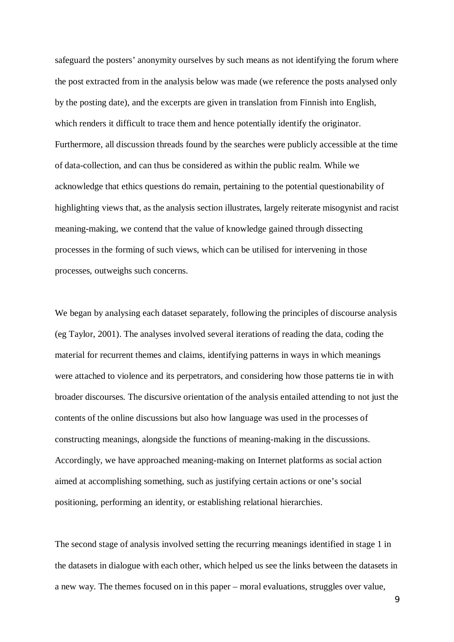safeguard the posters' anonymity ourselves by such means as not identifying the forum where the post extracted from in the analysis below was made (we reference the posts analysed only by the posting date), and the excerpts are given in translation from Finnish into English, which renders it difficult to trace them and hence potentially identify the originator. Furthermore, all discussion threads found by the searches were publicly accessible at the time of data-collection, and can thus be considered as within the public realm. While we acknowledge that ethics questions do remain, pertaining to the potential questionability of highlighting views that, as the analysis section illustrates, largely reiterate misogynist and racist meaning-making, we contend that the value of knowledge gained through dissecting processes in the forming of such views, which can be utilised for intervening in those processes, outweighs such concerns.

We began by analysing each dataset separately, following the principles of discourse analysis (eg Taylor, 2001). The analyses involved several iterations of reading the data, coding the material for recurrent themes and claims, identifying patterns in ways in which meanings were attached to violence and its perpetrators, and considering how those patterns tie in with broader discourses. The discursive orientation of the analysis entailed attending to not just the contents of the online discussions but also how language was used in the processes of constructing meanings, alongside the functions of meaning-making in the discussions. Accordingly, we have approached meaning-making on Internet platforms as social action aimed at accomplishing something, such as justifying certain actions or one's social positioning, performing an identity, or establishing relational hierarchies.

The second stage of analysis involved setting the recurring meanings identified in stage 1 in the datasets in dialogue with each other, which helped us see the links between the datasets in a new way. The themes focused on in this paper – moral evaluations, struggles over value,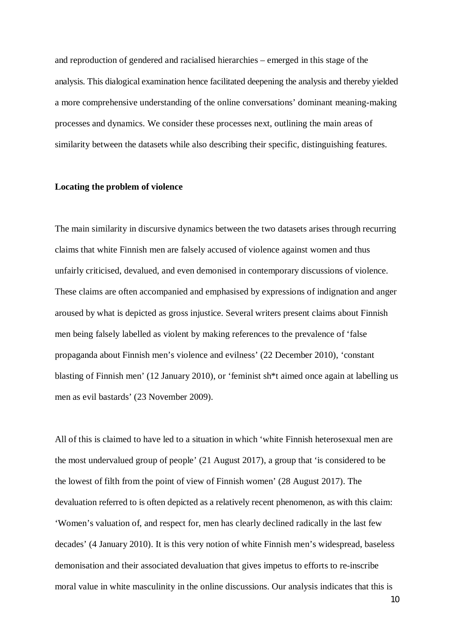and reproduction of gendered and racialised hierarchies – emerged in this stage of the analysis. This dialogical examination hence facilitated deepening the analysis and thereby yielded a more comprehensive understanding of the online conversations' dominant meaning-making processes and dynamics. We consider these processes next, outlining the main areas of similarity between the datasets while also describing their specific, distinguishing features.

#### **Locating the problem of violence**

The main similarity in discursive dynamics between the two datasets arises through recurring claims that white Finnish men are falsely accused of violence against women and thus unfairly criticised, devalued, and even demonised in contemporary discussions of violence. These claims are often accompanied and emphasised by expressions of indignation and anger aroused by what is depicted as gross injustice. Several writers present claims about Finnish men being falsely labelled as violent by making references to the prevalence of 'false propaganda about Finnish men's violence and evilness' (22 December 2010), 'constant blasting of Finnish men' (12 January 2010), or 'feminist sh\*t aimed once again at labelling us men as evil bastards' (23 November 2009).

All of this is claimed to have led to a situation in which 'white Finnish heterosexual men are the most undervalued group of people' (21 August 2017), a group that 'is considered to be the lowest of filth from the point of view of Finnish women' (28 August 2017). The devaluation referred to is often depicted as a relatively recent phenomenon, as with this claim: 'Women's valuation of, and respect for, men has clearly declined radically in the last few decades' (4 January 2010). It is this very notion of white Finnish men's widespread, baseless demonisation and their associated devaluation that gives impetus to efforts to re-inscribe moral value in white masculinity in the online discussions. Our analysis indicates that this is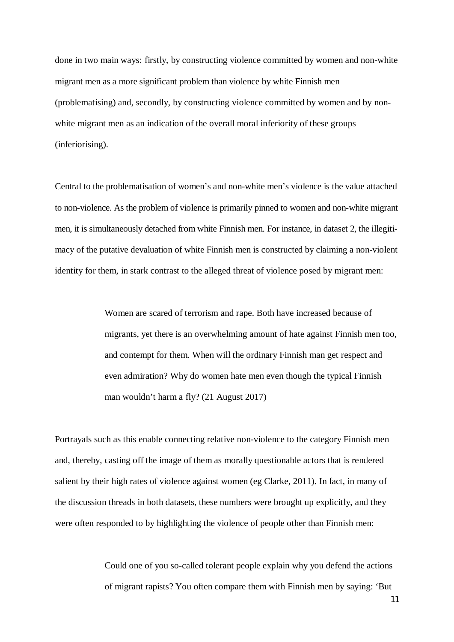done in two main ways: firstly, by constructing violence committed by women and non-white migrant men as a more significant problem than violence by white Finnish men (problematising) and, secondly, by constructing violence committed by women and by nonwhite migrant men as an indication of the overall moral inferiority of these groups (inferiorising).

Central to the problematisation of women's and non-white men's violence is the value attached to non-violence. As the problem of violence is primarily pinned to women and non-white migrant men, it is simultaneously detached from white Finnish men. For instance, in dataset 2, the illegitimacy of the putative devaluation of white Finnish men is constructed by claiming a non-violent identity for them, in stark contrast to the alleged threat of violence posed by migrant men:

> Women are scared of terrorism and rape. Both have increased because of migrants, yet there is an overwhelming amount of hate against Finnish men too, and contempt for them. When will the ordinary Finnish man get respect and even admiration? Why do women hate men even though the typical Finnish man wouldn't harm a fly? (21 August 2017)

Portrayals such as this enable connecting relative non-violence to the category Finnish men and, thereby, casting off the image of them as morally questionable actors that is rendered salient by their high rates of violence against women (eg Clarke, 2011). In fact, in many of the discussion threads in both datasets, these numbers were brought up explicitly, and they were often responded to by highlighting the violence of people other than Finnish men:

> Could one of you so-called tolerant people explain why you defend the actions of migrant rapists? You often compare them with Finnish men by saying: 'But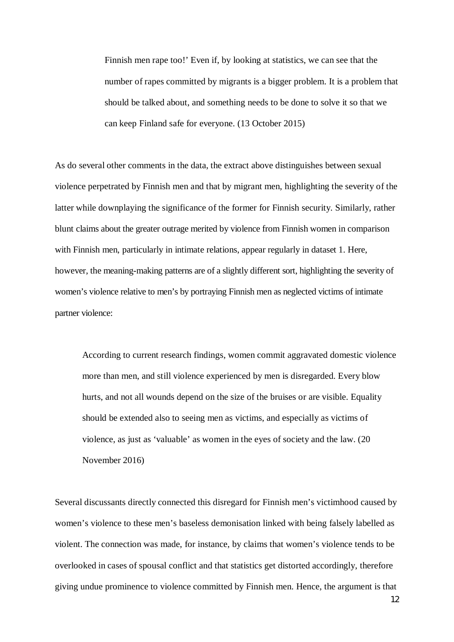Finnish men rape too!' Even if, by looking at statistics, we can see that the number of rapes committed by migrants is a bigger problem. It is a problem that should be talked about, and something needs to be done to solve it so that we can keep Finland safe for everyone. (13 October 2015)

As do several other comments in the data, the extract above distinguishes between sexual violence perpetrated by Finnish men and that by migrant men, highlighting the severity of the latter while downplaying the significance of the former for Finnish security. Similarly, rather blunt claims about the greater outrage merited by violence from Finnish women in comparison with Finnish men, particularly in intimate relations, appear regularly in dataset 1. Here, however, the meaning-making patterns are of a slightly different sort, highlighting the severity of women's violence relative to men's by portraying Finnish men as neglected victims of intimate partner violence:

According to current research findings, women commit aggravated domestic violence more than men, and still violence experienced by men is disregarded. Every blow hurts, and not all wounds depend on the size of the bruises or are visible. Equality should be extended also to seeing men as victims, and especially as victims of violence, as just as 'valuable' as women in the eyes of society and the law. (20 November 2016)

Several discussants directly connected this disregard for Finnish men's victimhood caused by women's violence to these men's baseless demonisation linked with being falsely labelled as violent. The connection was made, for instance, by claims that women's violence tends to be overlooked in cases of spousal conflict and that statistics get distorted accordingly, therefore giving undue prominence to violence committed by Finnish men. Hence, the argument is that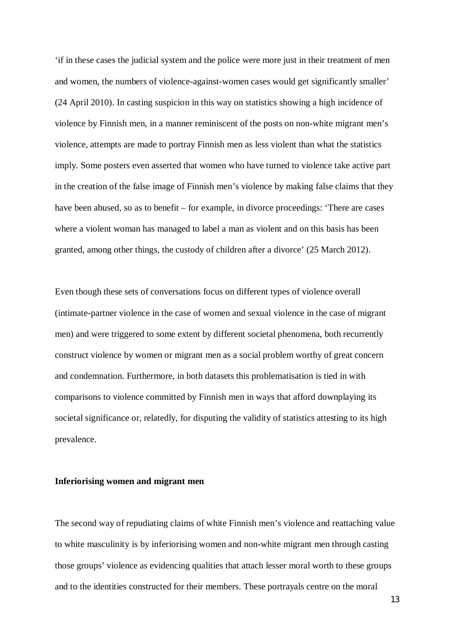'if in these cases the judicial system and the police were more just in their treatment of men and women, the numbers of violence-against-women cases would get significantly smaller' (24 April 2010). In casting suspicion in this way on statistics showing a high incidence of violence by Finnish men, in a manner reminiscent of the posts on non-white migrant men's violence, attempts are made to portray Finnish men as less violent than what the statistics imply. Some posters even asserted that women who have turned to violence take active part in the creation of the false image of Finnish men's violence by making false claims that they have been abused, so as to benefit – for example, in divorce proceedings: 'There are cases where a violent woman has managed to label a man as violent and on this basis has been granted, among other things, the custody of children after a divorce' (25 March 2012).

Even though these sets of conversations focus on different types of violence overall (intimate-partner violence in the case of women and sexual violence in the case of migrant men) and were triggered to some extent by different societal phenomena, both recurrently construct violence by women or migrant men as a social problem worthy of great concern and condemnation. Furthermore, in both datasets this problematisation is tied in with comparisons to violence committed by Finnish men in ways that afford downplaying its societal significance or, relatedly, for disputing the validity of statistics attesting to its high prevalence.

### **Inferiorising women and migrant men**

The second way of repudiating claims of white Finnish men's violence and reattaching value to white masculinity is by inferiorising women and non-white migrant men through casting those groups' violence as evidencing qualities that attach lesser moral worth to these groups and to the identities constructed for their members. These portrayals centre on the moral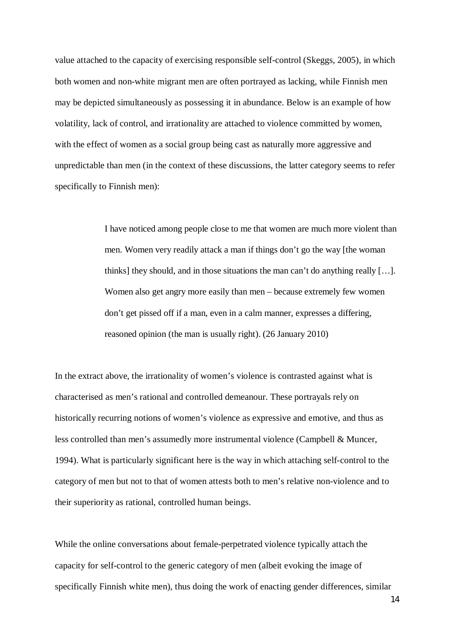value attached to the capacity of exercising responsible self-control (Skeggs, 2005), in which both women and non-white migrant men are often portrayed as lacking, while Finnish men may be depicted simultaneously as possessing it in abundance. Below is an example of how volatility, lack of control, and irrationality are attached to violence committed by women, with the effect of women as a social group being cast as naturally more aggressive and unpredictable than men (in the context of these discussions, the latter category seems to refer specifically to Finnish men):

> I have noticed among people close to me that women are much more violent than men. Women very readily attack a man if things don't go the way [the woman thinks] they should, and in those situations the man can't do anything really […]. Women also get angry more easily than men – because extremely few women don't get pissed off if a man, even in a calm manner, expresses a differing, reasoned opinion (the man is usually right). (26 January 2010)

In the extract above, the irrationality of women's violence is contrasted against what is characterised as men's rational and controlled demeanour. These portrayals rely on historically recurring notions of women's violence as expressive and emotive, and thus as less controlled than men's assumedly more instrumental violence (Campbell & Muncer, 1994). What is particularly significant here is the way in which attaching self-control to the category of men but not to that of women attests both to men's relative non-violence and to their superiority as rational, controlled human beings.

While the online conversations about female-perpetrated violence typically attach the capacity for self-control to the generic category of men (albeit evoking the image of specifically Finnish white men), thus doing the work of enacting gender differences, similar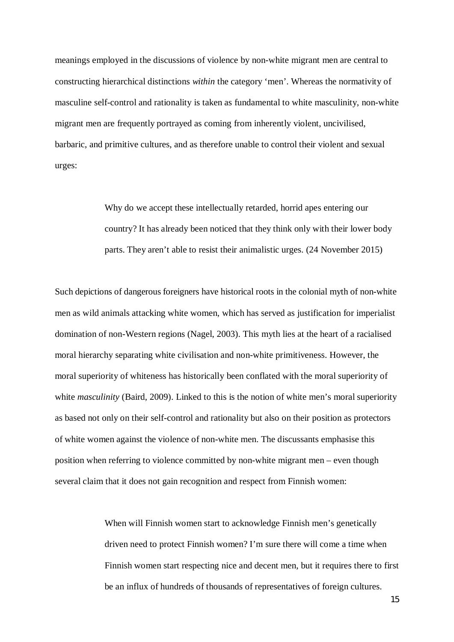meanings employed in the discussions of violence by non-white migrant men are central to constructing hierarchical distinctions *within* the category 'men'. Whereas the normativity of masculine self-control and rationality is taken as fundamental to white masculinity, non-white migrant men are frequently portrayed as coming from inherently violent, uncivilised, barbaric, and primitive cultures, and as therefore unable to control their violent and sexual urges:

> Why do we accept these intellectually retarded, horrid apes entering our country? It has already been noticed that they think only with their lower body parts. They aren't able to resist their animalistic urges. (24 November 2015)

Such depictions of dangerous foreigners have historical roots in the colonial myth of non-white men as wild animals attacking white women, which has served as justification for imperialist domination of non-Western regions (Nagel, 2003). This myth lies at the heart of a racialised moral hierarchy separating white civilisation and non-white primitiveness. However, the moral superiority of whiteness has historically been conflated with the moral superiority of white *masculinity* (Baird, 2009). Linked to this is the notion of white men's moral superiority as based not only on their self-control and rationality but also on their position as protectors of white women against the violence of non-white men. The discussants emphasise this position when referring to violence committed by non-white migrant men – even though several claim that it does not gain recognition and respect from Finnish women:

> When will Finnish women start to acknowledge Finnish men's genetically driven need to protect Finnish women? I'm sure there will come a time when Finnish women start respecting nice and decent men, but it requires there to first be an influx of hundreds of thousands of representatives of foreign cultures.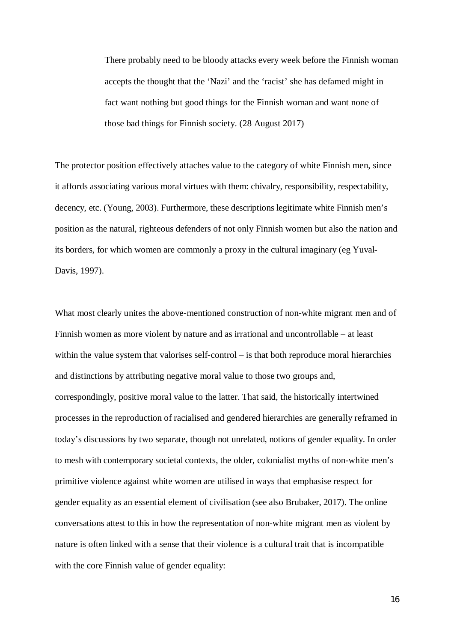There probably need to be bloody attacks every week before the Finnish woman accepts the thought that the 'Nazi' and the 'racist' she has defamed might in fact want nothing but good things for the Finnish woman and want none of those bad things for Finnish society. (28 August 2017)

The protector position effectively attaches value to the category of white Finnish men, since it affords associating various moral virtues with them: chivalry, responsibility, respectability, decency, etc. (Young, 2003). Furthermore, these descriptions legitimate white Finnish men's position as the natural, righteous defenders of not only Finnish women but also the nation and its borders, for which women are commonly a proxy in the cultural imaginary (eg Yuval-Davis, 1997).

What most clearly unites the above-mentioned construction of non-white migrant men and of Finnish women as more violent by nature and as irrational and uncontrollable – at least within the value system that valorises self-control – is that both reproduce moral hierarchies and distinctions by attributing negative moral value to those two groups and, correspondingly, positive moral value to the latter. That said, the historically intertwined processes in the reproduction of racialised and gendered hierarchies are generally reframed in today's discussions by two separate, though not unrelated, notions of gender equality. In order to mesh with contemporary societal contexts, the older, colonialist myths of non-white men's primitive violence against white women are utilised in ways that emphasise respect for gender equality as an essential element of civilisation (see also Brubaker, 2017). The online conversations attest to this in how the representation of non-white migrant men as violent by nature is often linked with a sense that their violence is a cultural trait that is incompatible with the core Finnish value of gender equality: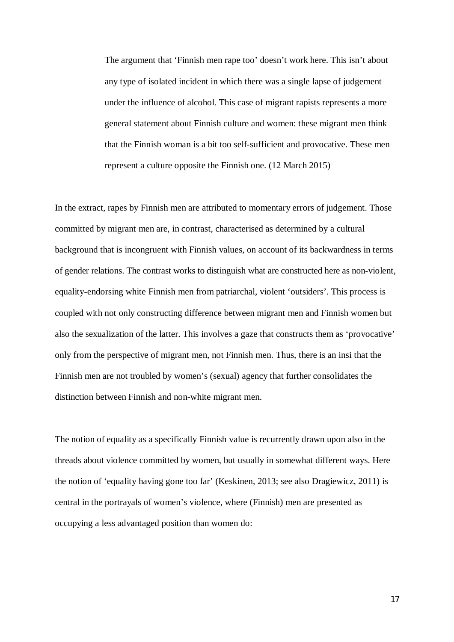The argument that 'Finnish men rape too' doesn't work here. This isn't about any type of isolated incident in which there was a single lapse of judgement under the influence of alcohol. This case of migrant rapists represents a more general statement about Finnish culture and women: these migrant men think that the Finnish woman is a bit too self-sufficient and provocative. These men represent a culture opposite the Finnish one. (12 March 2015)

In the extract, rapes by Finnish men are attributed to momentary errors of judgement. Those committed by migrant men are, in contrast, characterised as determined by a cultural background that is incongruent with Finnish values, on account of its backwardness in terms of gender relations. The contrast works to distinguish what are constructed here as non-violent, equality-endorsing white Finnish men from patriarchal, violent 'outsiders'. This process is coupled with not only constructing difference between migrant men and Finnish women but also the sexualization of the latter. This involves a gaze that constructs them as 'provocative' only from the perspective of migrant men, not Finnish men. Thus, there is an insi that the Finnish men are not troubled by women's (sexual) agency that further consolidates the distinction between Finnish and non-white migrant men.

The notion of equality as a specifically Finnish value is recurrently drawn upon also in the threads about violence committed by women, but usually in somewhat different ways. Here the notion of 'equality having gone too far' (Keskinen, 2013; see also Dragiewicz, 2011) is central in the portrayals of women's violence, where (Finnish) men are presented as occupying a less advantaged position than women do: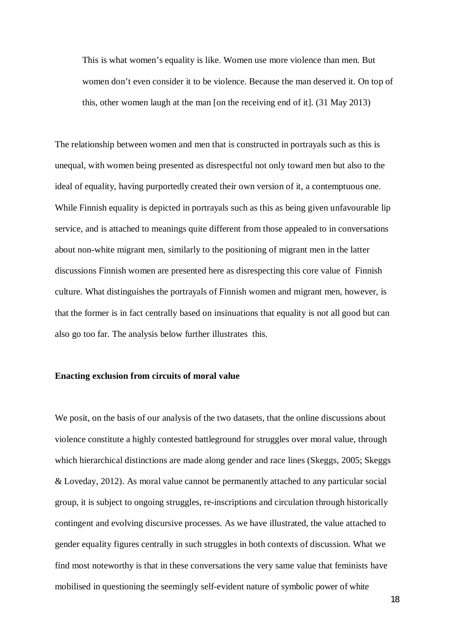This is what women's equality is like. Women use more violence than men. But women don't even consider it to be violence. Because the man deserved it. On top of this, other women laugh at the man [on the receiving end of it]. (31 May 2013)

The relationship between women and men that is constructed in portrayals such as this is unequal, with women being presented as disrespectful not only toward men but also to the ideal of equality, having purportedly created their own version of it, a contemptuous one. While Finnish equality is depicted in portrayals such as this as being given unfavourable lip service, and is attached to meanings quite different from those appealed to in conversations about non-white migrant men, similarly to the positioning of migrant men in the latter discussions Finnish women are presented here as disrespecting this core value of Finnish culture. What distinguishes the portrayals of Finnish women and migrant men, however, is that the former is in fact centrally based on insinuations that equality is not all good but can also go too far. The analysis below further illustrates this.

#### **Enacting exclusion from circuits of moral value**

We posit, on the basis of our analysis of the two datasets, that the online discussions about violence constitute a highly contested battleground for struggles over moral value, through which hierarchical distinctions are made along gender and race lines (Skeggs, 2005; Skeggs & Loveday, 2012). As moral value cannot be permanently attached to any particular social group, it is subject to ongoing struggles, re-inscriptions and circulation through historically contingent and evolving discursive processes. As we have illustrated, the value attached to gender equality figures centrally in such struggles in both contexts of discussion. What we find most noteworthy is that in these conversations the very same value that feminists have mobilised in questioning the seemingly self-evident nature of symbolic power of white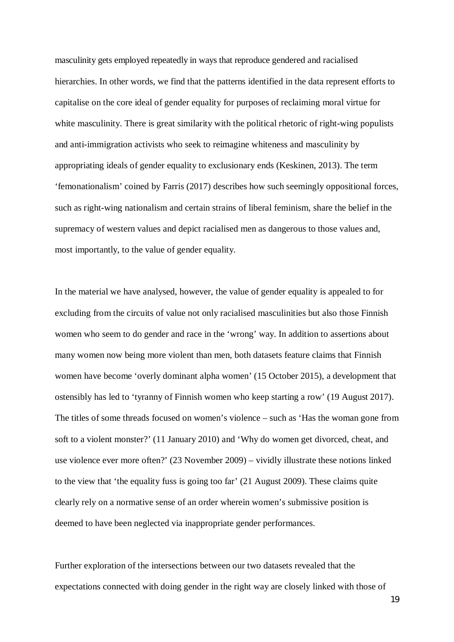masculinity gets employed repeatedly in ways that reproduce gendered and racialised hierarchies. In other words, we find that the patterns identified in the data represent efforts to capitalise on the core ideal of gender equality for purposes of reclaiming moral virtue for white masculinity. There is great similarity with the political rhetoric of right-wing populists and anti-immigration activists who seek to reimagine whiteness and masculinity by appropriating ideals of gender equality to exclusionary ends (Keskinen, 2013). The term 'femonationalism' coined by Farris (2017) describes how such seemingly oppositional forces, such as right-wing nationalism and certain strains of liberal feminism, share the belief in the supremacy of western values and depict racialised men as dangerous to those values and, most importantly, to the value of gender equality.

In the material we have analysed, however, the value of gender equality is appealed to for excluding from the circuits of value not only racialised masculinities but also those Finnish women who seem to do gender and race in the 'wrong' way. In addition to assertions about many women now being more violent than men, both datasets feature claims that Finnish women have become 'overly dominant alpha women' (15 October 2015), a development that ostensibly has led to 'tyranny of Finnish women who keep starting a row' (19 August 2017). The titles of some threads focused on women's violence – such as 'Has the woman gone from soft to a violent monster?' (11 January 2010) and 'Why do women get divorced, cheat, and use violence ever more often?' (23 November 2009) – vividly illustrate these notions linked to the view that 'the equality fuss is going too far' (21 August 2009). These claims quite clearly rely on a normative sense of an order wherein women's submissive position is deemed to have been neglected via inappropriate gender performances.

Further exploration of the intersections between our two datasets revealed that the expectations connected with doing gender in the right way are closely linked with those of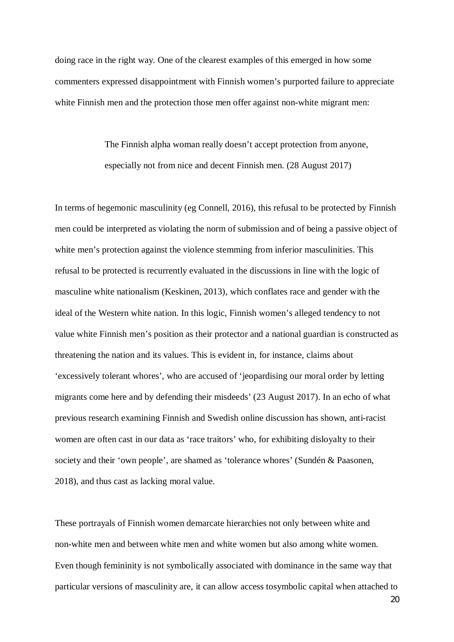doing race in the right way. One of the clearest examples of this emerged in how some commenters expressed disappointment with Finnish women's purported failure to appreciate white Finnish men and the protection those men offer against non-white migrant men:

> The Finnish alpha woman really doesn't accept protection from anyone, especially not from nice and decent Finnish men. (28 August 2017)

In terms of hegemonic masculinity (eg Connell, 2016), this refusal to be protected by Finnish men could be interpreted as violating the norm of submission and of being a passive object of white men's protection against the violence stemming from inferior masculinities. This refusal to be protected is recurrently evaluated in the discussions in line with the logic of masculine white nationalism (Keskinen, 2013), which conflates race and gender with the ideal of the Western white nation. In this logic, Finnish women's alleged tendency to not value white Finnish men's position as their protector and a national guardian is constructed as threatening the nation and its values. This is evident in, for instance, claims about 'excessively tolerant whores', who are accused of 'jeopardising our moral order by letting migrants come here and by defending their misdeeds' (23 August 2017). In an echo of what previous research examining Finnish and Swedish online discussion has shown, anti-racist women are often cast in our data as 'race traitors' who, for exhibiting disloyalty to their society and their 'own people', are shamed as 'tolerance whores' (Sundén & Paasonen, 2018), and thus cast as lacking moral value.

These portrayals of Finnish women demarcate hierarchies not only between white and non-white men and between white men and white women but also among white women. Even though femininity is not symbolically associated with dominance in the same way that particular versions of masculinity are, it can allow access tosymbolic capital when attached to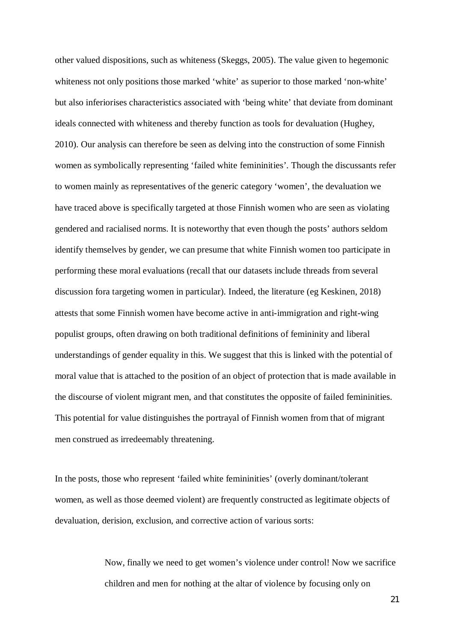other valued dispositions, such as whiteness (Skeggs, 2005). The value given to hegemonic whiteness not only positions those marked 'white' as superior to those marked 'non-white' but also inferiorises characteristics associated with 'being white' that deviate from dominant ideals connected with whiteness and thereby function as tools for devaluation (Hughey, 2010). Our analysis can therefore be seen as delving into the construction of some Finnish women as symbolically representing 'failed white femininities'. Though the discussants refer to women mainly as representatives of the generic category 'women', the devaluation we have traced above is specifically targeted at those Finnish women who are seen as violating gendered and racialised norms. It is noteworthy that even though the posts' authors seldom identify themselves by gender, we can presume that white Finnish women too participate in performing these moral evaluations (recall that our datasets include threads from several discussion fora targeting women in particular). Indeed, the literature (eg Keskinen, 2018) attests that some Finnish women have become active in anti-immigration and right-wing populist groups, often drawing on both traditional definitions of femininity and liberal understandings of gender equality in this. We suggest that this is linked with the potential of moral value that is attached to the position of an object of protection that is made available in the discourse of violent migrant men, and that constitutes the opposite of failed femininities. This potential for value distinguishes the portrayal of Finnish women from that of migrant men construed as irredeemably threatening.

In the posts, those who represent 'failed white femininities' (overly dominant/tolerant women, as well as those deemed violent) are frequently constructed as legitimate objects of devaluation, derision, exclusion, and corrective action of various sorts:

> Now, finally we need to get women's violence under control! Now we sacrifice children and men for nothing at the altar of violence by focusing only on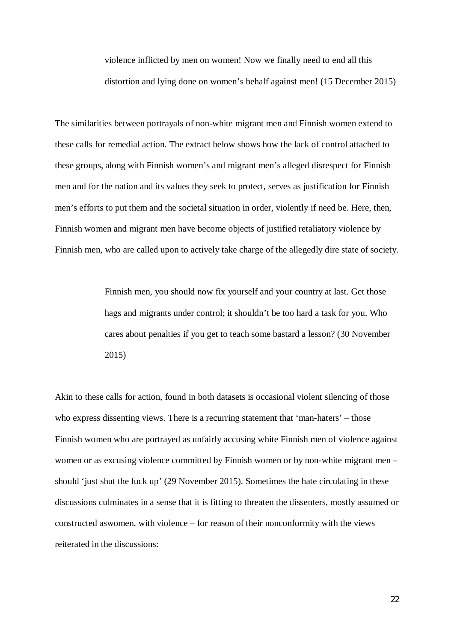violence inflicted by men on women! Now we finally need to end all this distortion and lying done on women's behalf against men! (15 December 2015)

The similarities between portrayals of non-white migrant men and Finnish women extend to these calls for remedial action. The extract below shows how the lack of control attached to these groups, along with Finnish women's and migrant men's alleged disrespect for Finnish men and for the nation and its values they seek to protect, serves as justification for Finnish men's efforts to put them and the societal situation in order, violently if need be. Here, then, Finnish women and migrant men have become objects of justified retaliatory violence by Finnish men, who are called upon to actively take charge of the allegedly dire state of society.

> Finnish men, you should now fix yourself and your country at last. Get those hags and migrants under control; it shouldn't be too hard a task for you. Who cares about penalties if you get to teach some bastard a lesson? (30 November 2015)

Akin to these calls for action, found in both datasets is occasional violent silencing of those who express dissenting views. There is a recurring statement that 'man-haters' – those Finnish women who are portrayed as unfairly accusing white Finnish men of violence against women or as excusing violence committed by Finnish women or by non-white migrant men – should 'just shut the fuck up' (29 November 2015). Sometimes the hate circulating in these discussions culminates in a sense that it is fitting to threaten the dissenters, mostly assumed or constructed aswomen, with violence – for reason of their nonconformity with the views reiterated in the discussions: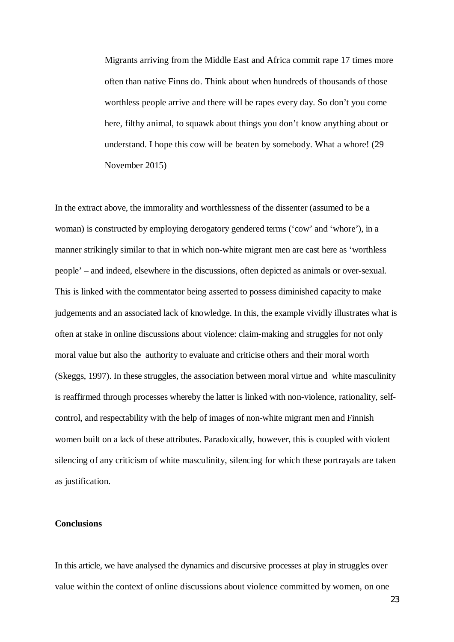Migrants arriving from the Middle East and Africa commit rape 17 times more often than native Finns do. Think about when hundreds of thousands of those worthless people arrive and there will be rapes every day. So don't you come here, filthy animal, to squawk about things you don't know anything about or understand. I hope this cow will be beaten by somebody. What a whore! (29 November 2015)

In the extract above, the immorality and worthlessness of the dissenter (assumed to be a woman) is constructed by employing derogatory gendered terms ('cow' and 'whore'), in a manner strikingly similar to that in which non-white migrant men are cast here as 'worthless people' – and indeed, elsewhere in the discussions, often depicted as animals or over-sexual. This is linked with the commentator being asserted to possess diminished capacity to make judgements and an associated lack of knowledge. In this, the example vividly illustrates what is often at stake in online discussions about violence: claim-making and struggles for not only moral value but also the authority to evaluate and criticise others and their moral worth (Skeggs, 1997). In these struggles, the association between moral virtue and white masculinity is reaffirmed through processes whereby the latter is linked with non-violence, rationality, selfcontrol, and respectability with the help of images of non-white migrant men and Finnish women built on a lack of these attributes. Paradoxically, however, this is coupled with violent silencing of any criticism of white masculinity, silencing for which these portrayals are taken as justification.

# **Conclusions**

In this article, we have analysed the dynamics and discursive processes at play in struggles over value within the context of online discussions about violence committed by women, on one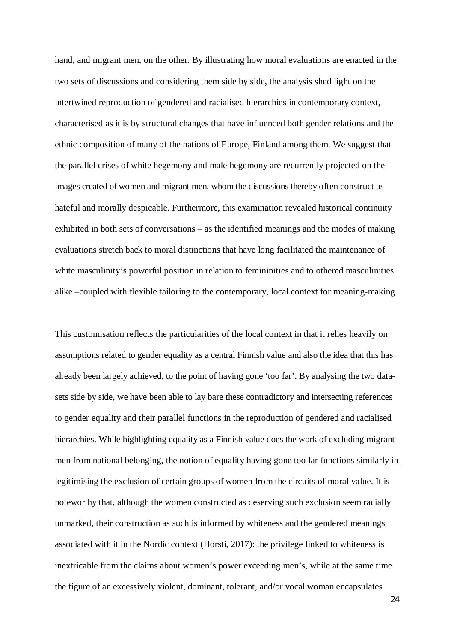hand, and migrant men, on the other. By illustrating how moral evaluations are enacted in the two sets of discussions and considering them side by side, the analysis shed light on the intertwined reproduction of gendered and racialised hierarchies in contemporary context, characterised as it is by structural changes that have influenced both gender relations and the ethnic composition of many of the nations of Europe, Finland among them. We suggest that the parallel crises of white hegemony and male hegemony are recurrently projected on the images created of women and migrant men, whom the discussions thereby often construct as hateful and morally despicable. Furthermore, this examination revealed historical continuity exhibited in both sets of conversations – as the identified meanings and the modes of making evaluations stretch back to moral distinctions that have long facilitated the maintenance of white masculinity's powerful position in relation to feminimities and to othered masculinities alike –coupled with flexible tailoring to the contemporary, local context for meaning-making.

This customisation reflects the particularities of the local context in that it relies heavily on assumptions related to gender equality as a central Finnish value and also the idea that this has already been largely achieved, to the point of having gone 'too far'. By analysing the two datasets side by side, we have been able to lay bare these contradictory and intersecting references to gender equality and their parallel functions in the reproduction of gendered and racialised hierarchies. While highlighting equality as a Finnish value does the work of excluding migrant men from national belonging, the notion of equality having gone too far functions similarly in legitimising the exclusion of certain groups of women from the circuits of moral value. It is noteworthy that, although the women constructed as deserving such exclusion seem racially unmarked, their construction as such is informed by whiteness and the gendered meanings associated with it in the Nordic context (Horsti, 2017): the privilege linked to whiteness is inextricable from the claims about women's power exceeding men's, while at the same time the figure of an excessively violent, dominant, tolerant, and/or vocal woman encapsulates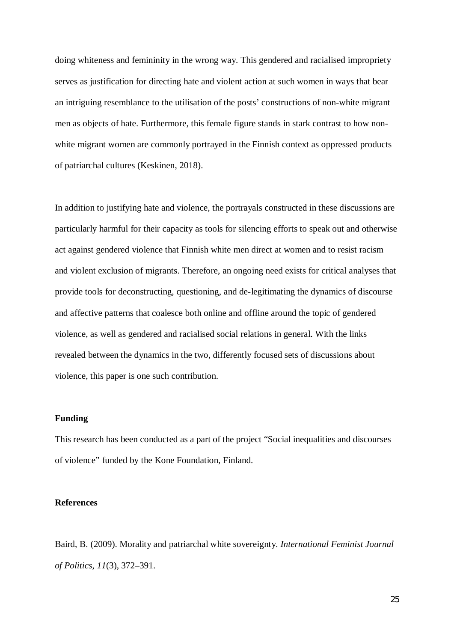doing whiteness and femininity in the wrong way. This gendered and racialised impropriety serves as justification for directing hate and violent action at such women in ways that bear an intriguing resemblance to the utilisation of the posts' constructions of non-white migrant men as objects of hate. Furthermore, this female figure stands in stark contrast to how nonwhite migrant women are commonly portrayed in the Finnish context as oppressed products of patriarchal cultures (Keskinen, 2018).

In addition to justifying hate and violence, the portrayals constructed in these discussions are particularly harmful for their capacity as tools for silencing efforts to speak out and otherwise act against gendered violence that Finnish white men direct at women and to resist racism and violent exclusion of migrants. Therefore, an ongoing need exists for critical analyses that provide tools for deconstructing, questioning, and de-legitimating the dynamics of discourse and affective patterns that coalesce both online and offline around the topic of gendered violence, as well as gendered and racialised social relations in general. With the links revealed between the dynamics in the two, differently focused sets of discussions about violence, this paper is one such contribution.

#### **Funding**

This research has been conducted as a part of the project "Social inequalities and discourses of violence" funded by the Kone Foundation, Finland.

#### **References**

Baird, B. (2009). Morality and patriarchal white sovereignty. *International Feminist Journal of Politics*, *11*(3), 372–391.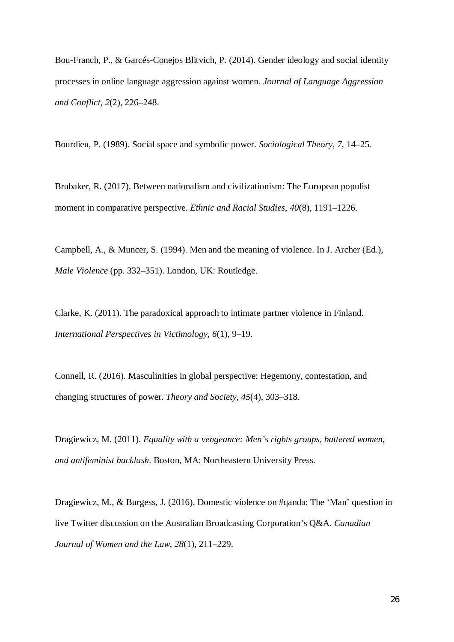Bou-Franch, P., & Garcés-Conejos Blitvich, P. (2014). Gender ideology and social identity processes in online language aggression against women. *Journal of Language Aggression and Conflict*, *2*(2), 226–248.

Bourdieu, P. (1989). Social space and symbolic power. *Sociological Theory*, *7*, 14–25.

Brubaker, R. (2017). Between nationalism and civilizationism: The European populist moment in comparative perspective. *Ethnic and Racial Studies*, *40*(8), 1191–1226.

Campbell, A., & Muncer, S. (1994). Men and the meaning of violence. In J. Archer (Ed.), *Male Violence* (pp. 332–351). London, UK: Routledge.

Clarke, K. (2011). The paradoxical approach to intimate partner violence in Finland. *International Perspectives in Victimology*, *6*(1), 9–19.

Connell, R. (2016). Masculinities in global perspective: Hegemony, contestation, and changing structures of power. *Theory and Society*, *45*(4), 303–318.

Dragiewicz, M. (2011). *Equality with a vengeance: Men's rights groups, battered women, and antifeminist backlash*. Boston, MA: Northeastern University Press.

Dragiewicz, M., & Burgess, J. (2016). Domestic violence on #qanda: The 'Man' question in live Twitter discussion on the Australian Broadcasting Corporation's Q&A. *Canadian Journal of Women and the Law*, *28*(1), 211–229.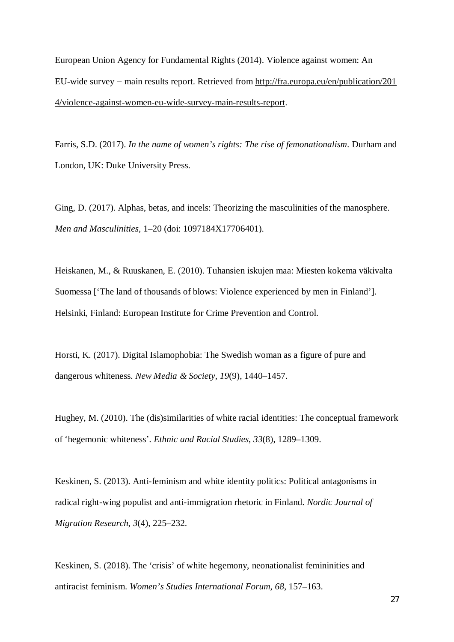European Union Agency for Fundamental Rights (2014). Violence against women: An EU-wide survey − main results report. Retrieved from http://fra.europa.eu/en/publication/201 4/violence-against-women-eu-wide-survey-main-results-report.

Farris, S.D. (2017). *In the name of women's rights: The rise of femonationalism*. Durham and London, UK: Duke University Press.

Ging, D. (2017). Alphas, betas, and incels: Theorizing the masculinities of the manosphere. *Men and Masculinities*, 1–20 (doi: 1097184X17706401).

Heiskanen, M., & Ruuskanen, E. (2010). Tuhansien iskujen maa: Miesten kokema väkivalta Suomessa ['The land of thousands of blows: Violence experienced by men in Finland']. Helsinki, Finland: European Institute for Crime Prevention and Control.

Horsti, K. (2017). Digital Islamophobia: The Swedish woman as a figure of pure and dangerous whiteness. *New Media & Society*, *19*(9), 1440–1457.

Hughey, M. (2010). The (dis)similarities of white racial identities: The conceptual framework of 'hegemonic whiteness'. *Ethnic and Racial Studies*, *33*(8), 1289–1309.

Keskinen, S. (2013). Anti-feminism and white identity politics: Political antagonisms in radical right-wing populist and anti-immigration rhetoric in Finland. *Nordic Journal of Migration Research*, *3*(4), 225–232.

Keskinen, S. (2018). The 'crisis' of white hegemony, neonationalist femininities and antiracist feminism. *Women's Studies International Forum*, *68*, 157–163.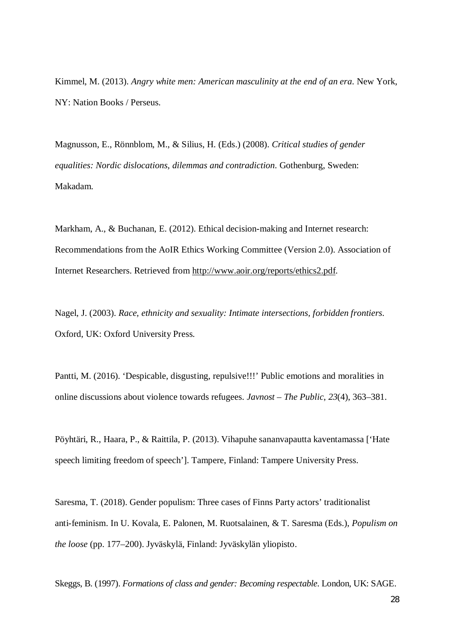Kimmel, M. (2013). *Angry white men: American masculinity at the end of an era*. New York, NY: Nation Books / Perseus.

Magnusson, E., Rönnblom, M., & Silius, H. (Eds.) (2008). *Critical studies of gender equalities: Nordic dislocations, dilemmas and contradiction*. Gothenburg, Sweden: Makadam.

Markham, A., & Buchanan, E. (2012). Ethical decision-making and Internet research: Recommendations from the AoIR Ethics Working Committee (Version 2.0). Association of Internet Researchers. Retrieved from http://www.aoir.org/reports/ethics2.pdf.

Nagel, J. (2003). *Race, ethnicity and sexuality: Intimate intersections, forbidden frontiers*. Oxford, UK: Oxford University Press.

Pantti, M. (2016). 'Despicable, disgusting, repulsive!!!' Public emotions and moralities in online discussions about violence towards refugees. *Javnost – The Public*, *23*(4), 363–381.

Pöyhtäri, R., Haara, P., & Raittila, P. (2013). Vihapuhe sananvapautta kaventamassa ['Hate speech limiting freedom of speech']. Tampere, Finland: Tampere University Press.

Saresma, T. (2018). Gender populism: Three cases of Finns Party actors' traditionalist anti-feminism. In U. Kovala, E. Palonen, M. Ruotsalainen, & T. Saresma (Eds.), *Populism on the loose* (pp. 177–200). Jyväskylä, Finland: Jyväskylän yliopisto.

Skeggs, B. (1997). *Formations of class and gender: Becoming respectable*. London, UK: SAGE.